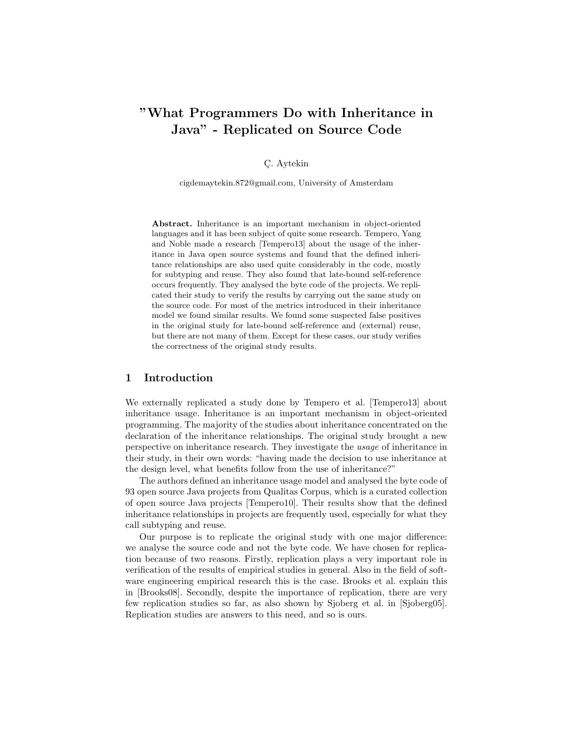# "What Programmers Do with Inheritance in Java" - Replicated on Source Code

# C¸ . Aytekin

cigdemaytekin.872@gmail.com, University of Amsterdam

Abstract. Inheritance is an important mechanism in object-oriented languages and it has been subject of quite some research. Tempero, Yang and Noble made a research [Tempero13] about the usage of the inheritance in Java open source systems and found that the defined inheritance relationships are also used quite considerably in the code, mostly for subtyping and reuse. They also found that late-bound self-reference occurs frequently. They analysed the byte code of the projects. We replicated their study to verify the results by carrying out the same study on the source code. For most of the metrics introduced in their inheritance model we found similar results. We found some suspected false positives in the original study for late-bound self-reference and (external) reuse, but there are not many of them. Except for these cases, our study verifies the correctness of the original study results.

### 1 Introduction

We externally replicated a study done by Tempero et al. [Tempero13] about inheritance usage. Inheritance is an important mechanism in object-oriented programming. The majority of the studies about inheritance concentrated on the declaration of the inheritance relationships. The original study brought a new perspective on inheritance research. They investigate the usage of inheritance in their study, in their own words: "having made the decision to use inheritance at the design level, what benefits follow from the use of inheritance?"

The authors defined an inheritance usage model and analysed the byte code of 93 open source Java projects from Qualitas Corpus, which is a curated collection of open source Java projects [Tempero10]. Their results show that the defined inheritance relationships in projects are frequently used, especially for what they call subtyping and reuse.

Our purpose is to replicate the original study with one major difference: we analyse the source code and not the byte code. We have chosen for replication because of two reasons. Firstly, replication plays a very important role in verification of the results of empirical studies in general. Also in the field of software engineering empirical research this is the case. Brooks et al. explain this in [Brooks08]. Secondly, despite the importance of replication, there are very few replication studies so far, as also shown by Sjoberg et al. in [Sjoberg05]. Replication studies are answers to this need, and so is ours.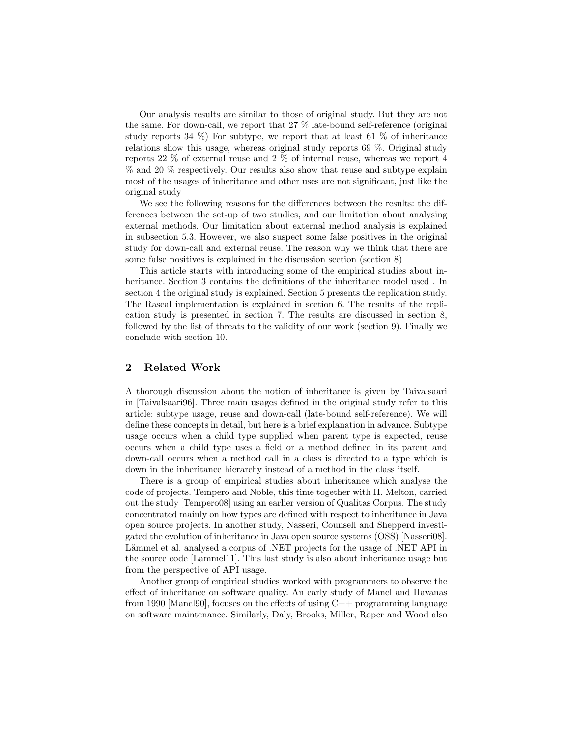Our analysis results are similar to those of original study. But they are not the same. For down-call, we report that 27 % late-bound self-reference (original study reports 34  $\%$ ) For subtype, we report that at least 61  $\%$  of inheritance relations show this usage, whereas original study reports 69 %. Original study reports 22 % of external reuse and 2 % of internal reuse, whereas we report 4 % and 20 % respectively. Our results also show that reuse and subtype explain most of the usages of inheritance and other uses are not significant, just like the original study

We see the following reasons for the differences between the results: the differences between the set-up of two studies, and our limitation about analysing external methods. Our limitation about external method analysis is explained in subsection 5.3. However, we also suspect some false positives in the original study for down-call and external reuse. The reason why we think that there are some false positives is explained in the discussion section (section 8)

This article starts with introducing some of the empirical studies about inheritance. Section 3 contains the definitions of the inheritance model used . In section 4 the original study is explained. Section 5 presents the replication study. The Rascal implementation is explained in section 6. The results of the replication study is presented in section 7. The results are discussed in section 8, followed by the list of threats to the validity of our work (section 9). Finally we conclude with section 10.

## 2 Related Work

A thorough discussion about the notion of inheritance is given by Taivalsaari in [Taivalsaari96]. Three main usages defined in the original study refer to this article: subtype usage, reuse and down-call (late-bound self-reference). We will define these concepts in detail, but here is a brief explanation in advance. Subtype usage occurs when a child type supplied when parent type is expected, reuse occurs when a child type uses a field or a method defined in its parent and down-call occurs when a method call in a class is directed to a type which is down in the inheritance hierarchy instead of a method in the class itself.

There is a group of empirical studies about inheritance which analyse the code of projects. Tempero and Noble, this time together with H. Melton, carried out the study [Tempero08] using an earlier version of Qualitas Corpus. The study concentrated mainly on how types are defined with respect to inheritance in Java open source projects. In another study, Nasseri, Counsell and Shepperd investigated the evolution of inheritance in Java open source systems (OSS) [Nasseri08]. Lämmel et al. analysed a corpus of .NET projects for the usage of .NET API in the source code [Lammel11]. This last study is also about inheritance usage but from the perspective of API usage.

Another group of empirical studies worked with programmers to observe the effect of inheritance on software quality. An early study of Mancl and Havanas from 1990 [Mancl90], focuses on the effects of using  $C++$  programming language on software maintenance. Similarly, Daly, Brooks, Miller, Roper and Wood also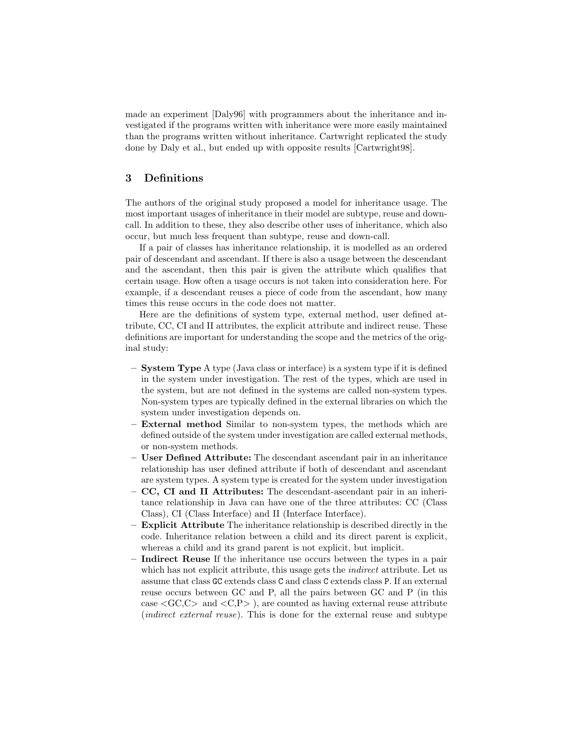made an experiment [Daly96] with programmers about the inheritance and investigated if the programs written with inheritance were more easily maintained than the programs written without inheritance. Cartwright replicated the study done by Daly et al., but ended up with opposite results [Cartwright98].

# 3 Definitions

The authors of the original study proposed a model for inheritance usage. The most important usages of inheritance in their model are subtype, reuse and downcall. In addition to these, they also describe other uses of inheritance, which also occur, but much less frequent than subtype, reuse and down-call.

If a pair of classes has inheritance relationship, it is modelled as an ordered pair of descendant and ascendant. If there is also a usage between the descendant and the ascendant, then this pair is given the attribute which qualifies that certain usage. How often a usage occurs is not taken into consideration here. For example, if a descendant reuses a piece of code from the ascendant, how many times this reuse occurs in the code does not matter.

Here are the definitions of system type, external method, user defined attribute, CC, CI and II attributes, the explicit attribute and indirect reuse. These definitions are important for understanding the scope and the metrics of the original study:

- System Type A type (Java class or interface) is a system type if it is defined in the system under investigation. The rest of the types, which are used in the system, but are not defined in the systems are called non-system types. Non-system types are typically defined in the external libraries on which the system under investigation depends on.
- External method Similar to non-system types, the methods which are defined outside of the system under investigation are called external methods, or non-system methods.
- User Defined Attribute: The descendant ascendant pair in an inheritance relationship has user defined attribute if both of descendant and ascendant are system types. A system type is created for the system under investigation
- CC, CI and II Attributes: The descendant-ascendant pair in an inheritance relationship in Java can have one of the three attributes: CC (Class Class), CI (Class Interface) and II (Interface Interface).
- $-$  **Explicit Attribute** The inheritance relationship is described directly in the code. Inheritance relation between a child and its direct parent is explicit, whereas a child and its grand parent is not explicit, but implicit.
- Indirect Reuse If the inheritance use occurs between the types in a pair which has not explicit attribute, this usage gets the *indirect* attribute. Let us assume that class GC extends class C and class C extends class P. If an external reuse occurs between GC and P, all the pairs between GC and P (in this case  $\langle$  GC,C $>$  and  $\langle$ C,P $>$ ), are counted as having external reuse attribute (indirect external reuse). This is done for the external reuse and subtype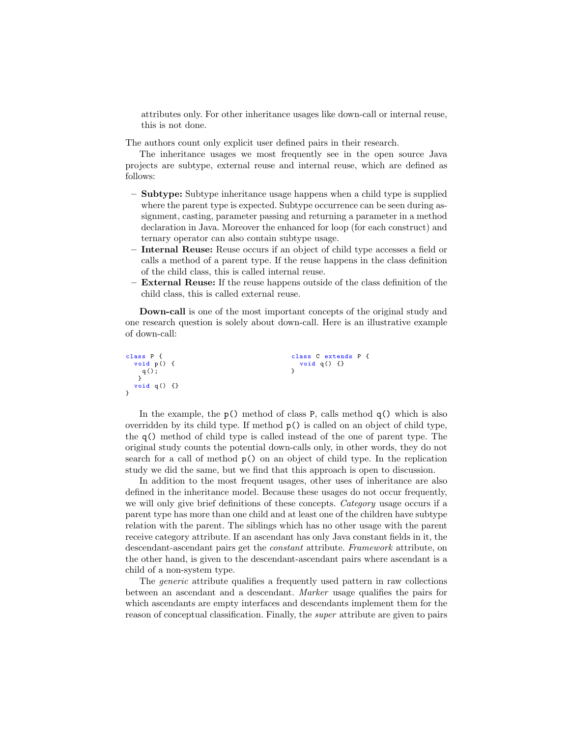attributes only. For other inheritance usages like down-call or internal reuse, this is not done.

The authors count only explicit user defined pairs in their research.

The inheritance usages we most frequently see in the open source Java projects are subtype, external reuse and internal reuse, which are defined as follows:

- Subtype: Subtype inheritance usage happens when a child type is supplied where the parent type is expected. Subtype occurrence can be seen during assignment, casting, parameter passing and returning a parameter in a method declaration in Java. Moreover the enhanced for loop (for each construct) and ternary operator can also contain subtype usage.
- Internal Reuse: Reuse occurs if an object of child type accesses a field or calls a method of a parent type. If the reuse happens in the class definition of the child class, this is called internal reuse.
- External Reuse: If the reuse happens outside of the class definition of the child class, this is called external reuse.

Down-call is one of the most important concepts of the original study and one research question is solely about down-call. Here is an illustrative example of down-call:

```
class P {
 void p () {
   q();
  }
void q () {}
}
                                             class C extends P {
                                             void q () {}
}
```
In the example, the  $p()$  method of class P, calls method  $q()$  which is also overridden by its child type. If method  $p()$  is called on an object of child type, the q() method of child type is called instead of the one of parent type. The original study counts the potential down-calls only, in other words, they do not search for a call of method p() on an object of child type. In the replication study we did the same, but we find that this approach is open to discussion.

In addition to the most frequent usages, other uses of inheritance are also defined in the inheritance model. Because these usages do not occur frequently, we will only give brief definitions of these concepts. Category usage occurs if a parent type has more than one child and at least one of the children have subtype relation with the parent. The siblings which has no other usage with the parent receive category attribute. If an ascendant has only Java constant fields in it, the descendant-ascendant pairs get the constant attribute. Framework attribute, on the other hand, is given to the descendant-ascendant pairs where ascendant is a child of a non-system type.

The generic attribute qualifies a frequently used pattern in raw collections between an ascendant and a descendant. Marker usage qualifies the pairs for which ascendants are empty interfaces and descendants implement them for the reason of conceptual classification. Finally, the super attribute are given to pairs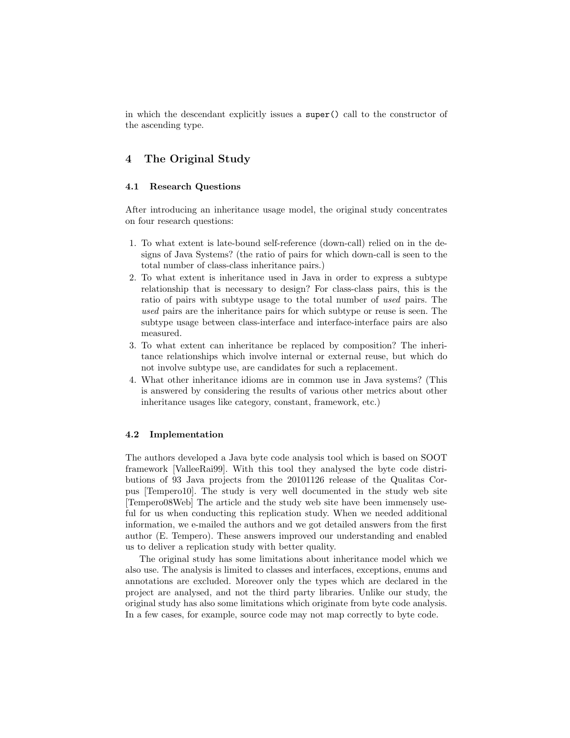in which the descendant explicitly issues a super() call to the constructor of the ascending type.

# 4 The Original Study

#### 4.1 Research Questions

After introducing an inheritance usage model, the original study concentrates on four research questions:

- 1. To what extent is late-bound self-reference (down-call) relied on in the designs of Java Systems? (the ratio of pairs for which down-call is seen to the total number of class-class inheritance pairs.)
- 2. To what extent is inheritance used in Java in order to express a subtype relationship that is necessary to design? For class-class pairs, this is the ratio of pairs with subtype usage to the total number of used pairs. The used pairs are the inheritance pairs for which subtype or reuse is seen. The subtype usage between class-interface and interface-interface pairs are also measured.
- 3. To what extent can inheritance be replaced by composition? The inheritance relationships which involve internal or external reuse, but which do not involve subtype use, are candidates for such a replacement.
- 4. What other inheritance idioms are in common use in Java systems? (This is answered by considering the results of various other metrics about other inheritance usages like category, constant, framework, etc.)

#### 4.2 Implementation

The authors developed a Java byte code analysis tool which is based on SOOT framework [ValleeRai99]. With this tool they analysed the byte code distributions of 93 Java projects from the 20101126 release of the Qualitas Corpus [Tempero10]. The study is very well documented in the study web site [Tempero08Web] The article and the study web site have been immensely useful for us when conducting this replication study. When we needed additional information, we e-mailed the authors and we got detailed answers from the first author (E. Tempero). These answers improved our understanding and enabled us to deliver a replication study with better quality.

The original study has some limitations about inheritance model which we also use. The analysis is limited to classes and interfaces, exceptions, enums and annotations are excluded. Moreover only the types which are declared in the project are analysed, and not the third party libraries. Unlike our study, the original study has also some limitations which originate from byte code analysis. In a few cases, for example, source code may not map correctly to byte code.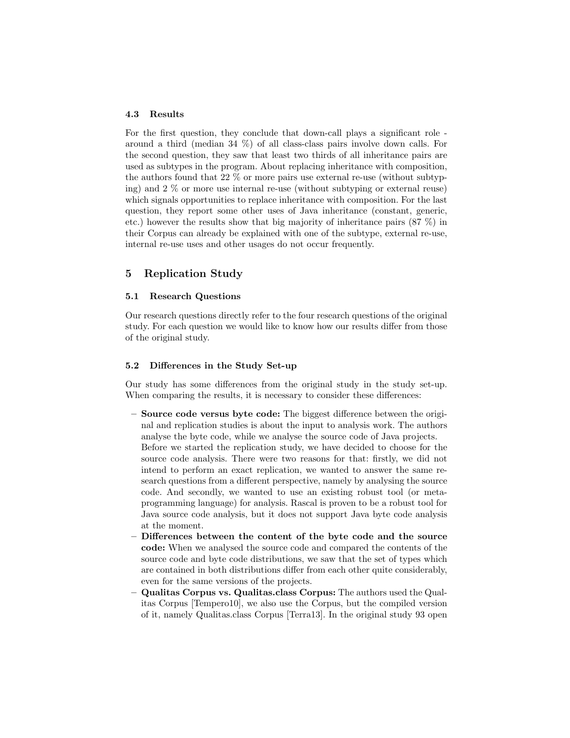#### 4.3 Results

For the first question, they conclude that down-call plays a significant role around a third (median 34 %) of all class-class pairs involve down calls. For the second question, they saw that least two thirds of all inheritance pairs are used as subtypes in the program. About replacing inheritance with composition, the authors found that 22 % or more pairs use external re-use (without subtyping) and 2 % or more use internal re-use (without subtyping or external reuse) which signals opportunities to replace inheritance with composition. For the last question, they report some other uses of Java inheritance (constant, generic, etc.) however the results show that big majority of inheritance pairs (87 %) in their Corpus can already be explained with one of the subtype, external re-use, internal re-use uses and other usages do not occur frequently.

# 5 Replication Study

#### 5.1 Research Questions

Our research questions directly refer to the four research questions of the original study. For each question we would like to know how our results differ from those of the original study.

#### 5.2 Differences in the Study Set-up

Our study has some differences from the original study in the study set-up. When comparing the results, it is necessary to consider these differences:

- Source code versus byte code: The biggest difference between the original and replication studies is about the input to analysis work. The authors analyse the byte code, while we analyse the source code of Java projects. Before we started the replication study, we have decided to choose for the source code analysis. There were two reasons for that: firstly, we did not intend to perform an exact replication, we wanted to answer the same research questions from a different perspective, namely by analysing the source code. And secondly, we wanted to use an existing robust tool (or metaprogramming language) for analysis. Rascal is proven to be a robust tool for Java source code analysis, but it does not support Java byte code analysis at the moment.
- Differences between the content of the byte code and the source code: When we analysed the source code and compared the contents of the source code and byte code distributions, we saw that the set of types which are contained in both distributions differ from each other quite considerably, even for the same versions of the projects.
- Qualitas Corpus vs. Qualitas.class Corpus: The authors used the Qualitas Corpus [Tempero10], we also use the Corpus, but the compiled version of it, namely Qualitas.class Corpus [Terra13]. In the original study 93 open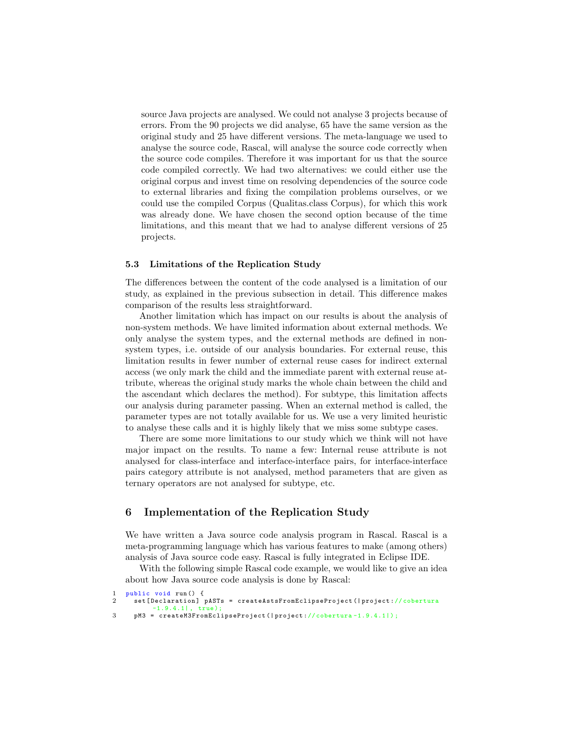source Java projects are analysed. We could not analyse 3 projects because of errors. From the 90 projects we did analyse, 65 have the same version as the original study and 25 have different versions. The meta-language we used to analyse the source code, Rascal, will analyse the source code correctly when the source code compiles. Therefore it was important for us that the source code compiled correctly. We had two alternatives: we could either use the original corpus and invest time on resolving dependencies of the source code to external libraries and fixing the compilation problems ourselves, or we could use the compiled Corpus (Qualitas.class Corpus), for which this work was already done. We have chosen the second option because of the time limitations, and this meant that we had to analyse different versions of 25 projects.

#### 5.3 Limitations of the Replication Study

The differences between the content of the code analysed is a limitation of our study, as explained in the previous subsection in detail. This difference makes comparison of the results less straightforward.

Another limitation which has impact on our results is about the analysis of non-system methods. We have limited information about external methods. We only analyse the system types, and the external methods are defined in nonsystem types, i.e. outside of our analysis boundaries. For external reuse, this limitation results in fewer number of external reuse cases for indirect external access (we only mark the child and the immediate parent with external reuse attribute, whereas the original study marks the whole chain between the child and the ascendant which declares the method). For subtype, this limitation affects our analysis during parameter passing. When an external method is called, the parameter types are not totally available for us. We use a very limited heuristic to analyse these calls and it is highly likely that we miss some subtype cases.

There are some more limitations to our study which we think will not have major impact on the results. To name a few: Internal reuse attribute is not analysed for class-interface and interface-interface pairs, for interface-interface pairs category attribute is not analysed, method parameters that are given as ternary operators are not analysed for subtype, etc.

# 6 Implementation of the Replication Study

We have written a Java source code analysis program in Rascal. Rascal is a meta-programming language which has various features to make (among others) analysis of Java source code easy. Rascal is fully integrated in Eclipse IDE.

With the following simple Rascal code example, we would like to give an idea about how Java source code analysis is done by Rascal:

```
public void run () {
2 set [Declaration] pASTs = createAstsFromEclipseProject (| project://cobertura
           -1.9.4.1| , true );
3 pM3 = createM3FromEclipseProject (| project :// cobertura -1.9.4.1|) ;
```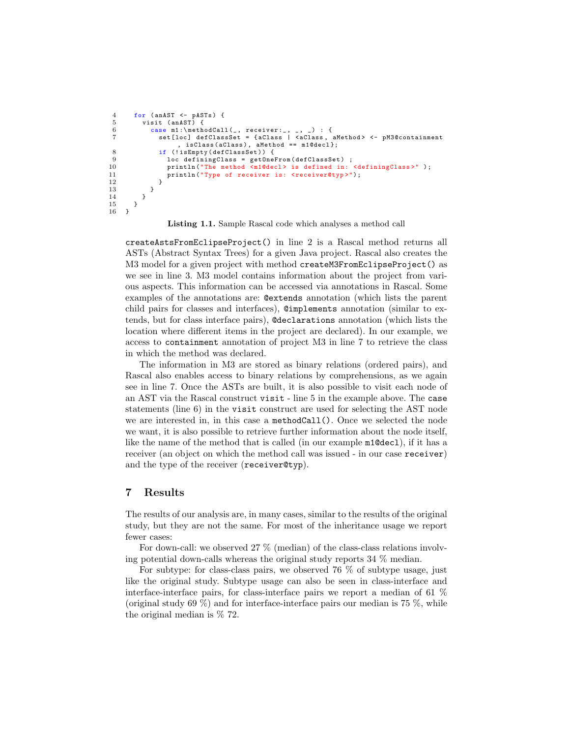```
4 for (anAST <- pASTs) {<br>5 visit (anAST) {
             visit (anAST) {
 6 case m1 :\ methodCall (_ , receiver :_ , _ , _) : {
7 set [ loc ] defClassSet = { aClass | < aClass , aMethod > <- pM3@containment
                           , isClass ( aClass ) , aMethod == m1@decl };
 8 if (! isEmpty ( defClassSet )) {
9 loc definingClass = getOneFrom (defClassSet);<br>10 println("The method <m1@decl> is defined in:
10 println ("The method <m1@decl> is defined in: <definingClass>");<br>11 println ("Type of receiver is: <receiver@typ>");
                   println ("Type of receiver is: <receiver@typ>");<br>}
\begin{array}{ccc} 12 & & \\ 13 & & \end{array}\begin{array}{cc} 13 & & \\ 14 & & \end{array}\frac{14}{15}}<sup>}</sup>
16 }
```
Listing 1.1. Sample Rascal code which analyses a method call

createAstsFromEclipseProject() in line 2 is a Rascal method returns all ASTs (Abstract Syntax Trees) for a given Java project. Rascal also creates the M3 model for a given project with method createM3FromEclipseProject() as we see in line 3. M3 model contains information about the project from various aspects. This information can be accessed via annotations in Rascal. Some examples of the annotations are: @extends annotation (which lists the parent child pairs for classes and interfaces), @implements annotation (similar to extends, but for class interface pairs), @declarations annotation (which lists the location where different items in the project are declared). In our example, we access to containment annotation of project M3 in line 7 to retrieve the class in which the method was declared.

The information in M3 are stored as binary relations (ordered pairs), and Rascal also enables access to binary relations by comprehensions, as we again see in line 7. Once the ASTs are built, it is also possible to visit each node of an AST via the Rascal construct visit - line 5 in the example above. The case statements (line 6) in the visit construct are used for selecting the AST node we are interested in, in this case a methodCall(). Once we selected the node we want, it is also possible to retrieve further information about the node itself, like the name of the method that is called (in our example m1@decl), if it has a receiver (an object on which the method call was issued - in our case receiver) and the type of the receiver (receiver@typ).

### 7 Results

The results of our analysis are, in many cases, similar to the results of the original study, but they are not the same. For most of the inheritance usage we report fewer cases:

For down-call: we observed 27 % (median) of the class-class relations involving potential down-calls whereas the original study reports 34 % median.

For subtype: for class-class pairs, we observed  $76\%$  of subtype usage, just like the original study. Subtype usage can also be seen in class-interface and interface-interface pairs, for class-interface pairs we report a median of 61 % (original study 69 %) and for interface-interface pairs our median is 75 %, while the original median is % 72.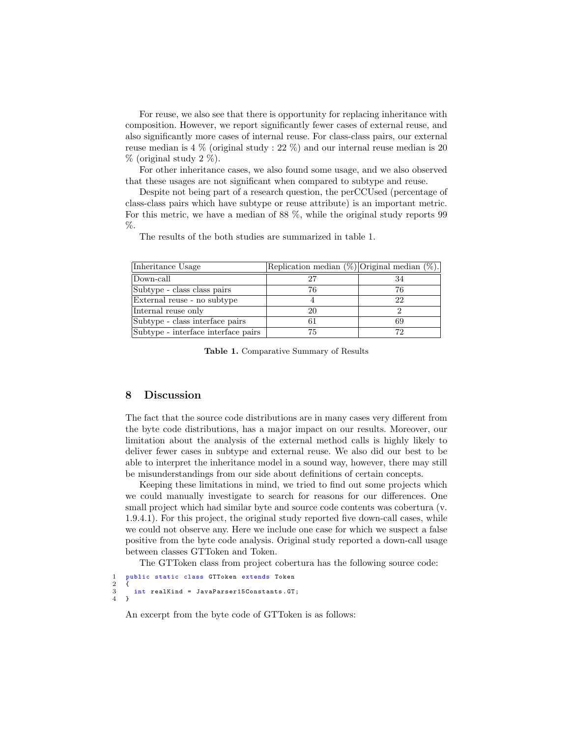For reuse, we also see that there is opportunity for replacing inheritance with composition. However, we report significantly fewer cases of external reuse, and also significantly more cases of internal reuse. For class-class pairs, our external reuse median is 4 % (original study : 22 %) and our internal reuse median is 20  $%$  (original study 2 %).

For other inheritance cases, we also found some usage, and we also observed that these usages are not significant when compared to subtype and reuse.

Despite not being part of a research question, the perCCUsed (percentage of class-class pairs which have subtype or reuse attribute) is an important metric. For this metric, we have a median of 88 %, while the original study reports 99 %.

The results of the both studies are summarized in table 1.

| Inheritance Usage                   | Replication median $(\%)$ Original median $(\%)$ . |    |
|-------------------------------------|----------------------------------------------------|----|
| Down-call                           |                                                    |    |
| Subtype - class class pairs         | 76                                                 | 76 |
| External reuse - no subtype         |                                                    | 22 |
| Internal reuse only                 | 20                                                 |    |
| Subtype - class interface pairs     | 61                                                 | 69 |
| Subtype - interface interface pairs | 75                                                 | 72 |

Table 1. Comparative Summary of Results

# 8 Discussion

The fact that the source code distributions are in many cases very different from the byte code distributions, has a major impact on our results. Moreover, our limitation about the analysis of the external method calls is highly likely to deliver fewer cases in subtype and external reuse. We also did our best to be able to interpret the inheritance model in a sound way, however, there may still be misunderstandings from our side about definitions of certain concepts.

Keeping these limitations in mind, we tried to find out some projects which we could manually investigate to search for reasons for our differences. One small project which had similar byte and source code contents was cobertura (v. 1.9.4.1). For this project, the original study reported five down-call cases, while we could not observe any. Here we include one case for which we suspect a false positive from the byte code analysis. Original study reported a down-call usage between classes GTToken and Token.

The GTToken class from project cobertura has the following source code:

```
public static class GTToken extends Token
\begin{array}{c} 2 \\ 3 \\ 4 \end{array}int realKind = JavaParser15Constants. GT;
    \overline{1}
```
An excerpt from the byte code of GTToken is as follows: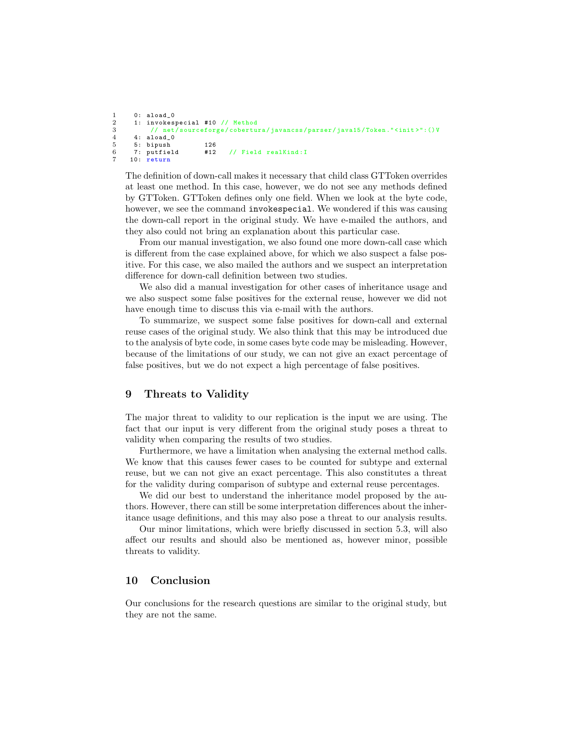```
\begin{array}{ccc} 1 & 0: \text{aload}_0 \\ 2 & 1: \text{invokes} \end{array}2 1: invokespecial #10 // Method<br>3 // net/sourceforge/cobertu
3 // net / sourceforge / cobertura / javancss / parser / java15 / Token ." < init >":() V
4 4: aload_0
5 5: bipush 126
                                        // Field realKind: I
      10: return
```
The definition of down-call makes it necessary that child class GTToken overrides at least one method. In this case, however, we do not see any methods defined by GTToken. GTToken defines only one field. When we look at the byte code, however, we see the command invokespecial. We wondered if this was causing the down-call report in the original study. We have e-mailed the authors, and they also could not bring an explanation about this particular case.

From our manual investigation, we also found one more down-call case which is different from the case explained above, for which we also suspect a false positive. For this case, we also mailed the authors and we suspect an interpretation difference for down-call definition between two studies.

We also did a manual investigation for other cases of inheritance usage and we also suspect some false positives for the external reuse, however we did not have enough time to discuss this via e-mail with the authors.

To summarize, we suspect some false positives for down-call and external reuse cases of the original study. We also think that this may be introduced due to the analysis of byte code, in some cases byte code may be misleading. However, because of the limitations of our study, we can not give an exact percentage of false positives, but we do not expect a high percentage of false positives.

# 9 Threats to Validity

The major threat to validity to our replication is the input we are using. The fact that our input is very different from the original study poses a threat to validity when comparing the results of two studies.

Furthermore, we have a limitation when analysing the external method calls. We know that this causes fewer cases to be counted for subtype and external reuse, but we can not give an exact percentage. This also constitutes a threat for the validity during comparison of subtype and external reuse percentages.

We did our best to understand the inheritance model proposed by the authors. However, there can still be some interpretation differences about the inheritance usage definitions, and this may also pose a threat to our analysis results.

Our minor limitations, which were briefly discussed in section 5.3, will also affect our results and should also be mentioned as, however minor, possible threats to validity.

### 10 Conclusion

Our conclusions for the research questions are similar to the original study, but they are not the same.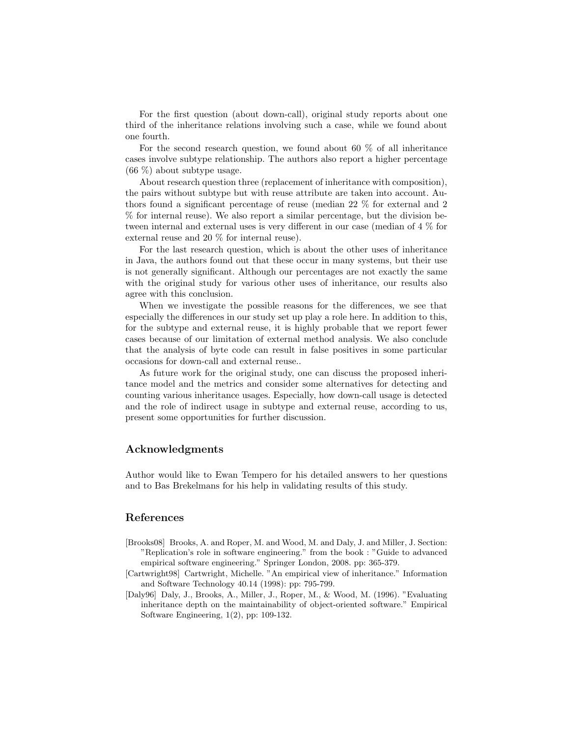For the first question (about down-call), original study reports about one third of the inheritance relations involving such a case, while we found about one fourth.

For the second research question, we found about 60 % of all inheritance cases involve subtype relationship. The authors also report a higher percentage (66 %) about subtype usage.

About research question three (replacement of inheritance with composition), the pairs without subtype but with reuse attribute are taken into account. Authors found a significant percentage of reuse (median 22 % for external and 2 % for internal reuse). We also report a similar percentage, but the division between internal and external uses is very different in our case (median of 4 % for external reuse and 20 % for internal reuse).

For the last research question, which is about the other uses of inheritance in Java, the authors found out that these occur in many systems, but their use is not generally significant. Although our percentages are not exactly the same with the original study for various other uses of inheritance, our results also agree with this conclusion.

When we investigate the possible reasons for the differences, we see that especially the differences in our study set up play a role here. In addition to this, for the subtype and external reuse, it is highly probable that we report fewer cases because of our limitation of external method analysis. We also conclude that the analysis of byte code can result in false positives in some particular occasions for down-call and external reuse..

As future work for the original study, one can discuss the proposed inheritance model and the metrics and consider some alternatives for detecting and counting various inheritance usages. Especially, how down-call usage is detected and the role of indirect usage in subtype and external reuse, according to us, present some opportunities for further discussion.

#### Acknowledgments

Author would like to Ewan Tempero for his detailed answers to her questions and to Bas Brekelmans for his help in validating results of this study.

# References

- [Brooks08] Brooks, A. and Roper, M. and Wood, M. and Daly, J. and Miller, J. Section: "Replication's role in software engineering." from the book : "Guide to advanced empirical software engineering." Springer London, 2008. pp: 365-379.
- [Cartwright98] Cartwright, Michelle. "An empirical view of inheritance." Information and Software Technology 40.14 (1998): pp: 795-799.
- [Daly96] Daly, J., Brooks, A., Miller, J., Roper, M., & Wood, M. (1996). "Evaluating inheritance depth on the maintainability of object-oriented software." Empirical Software Engineering, 1(2), pp: 109-132.